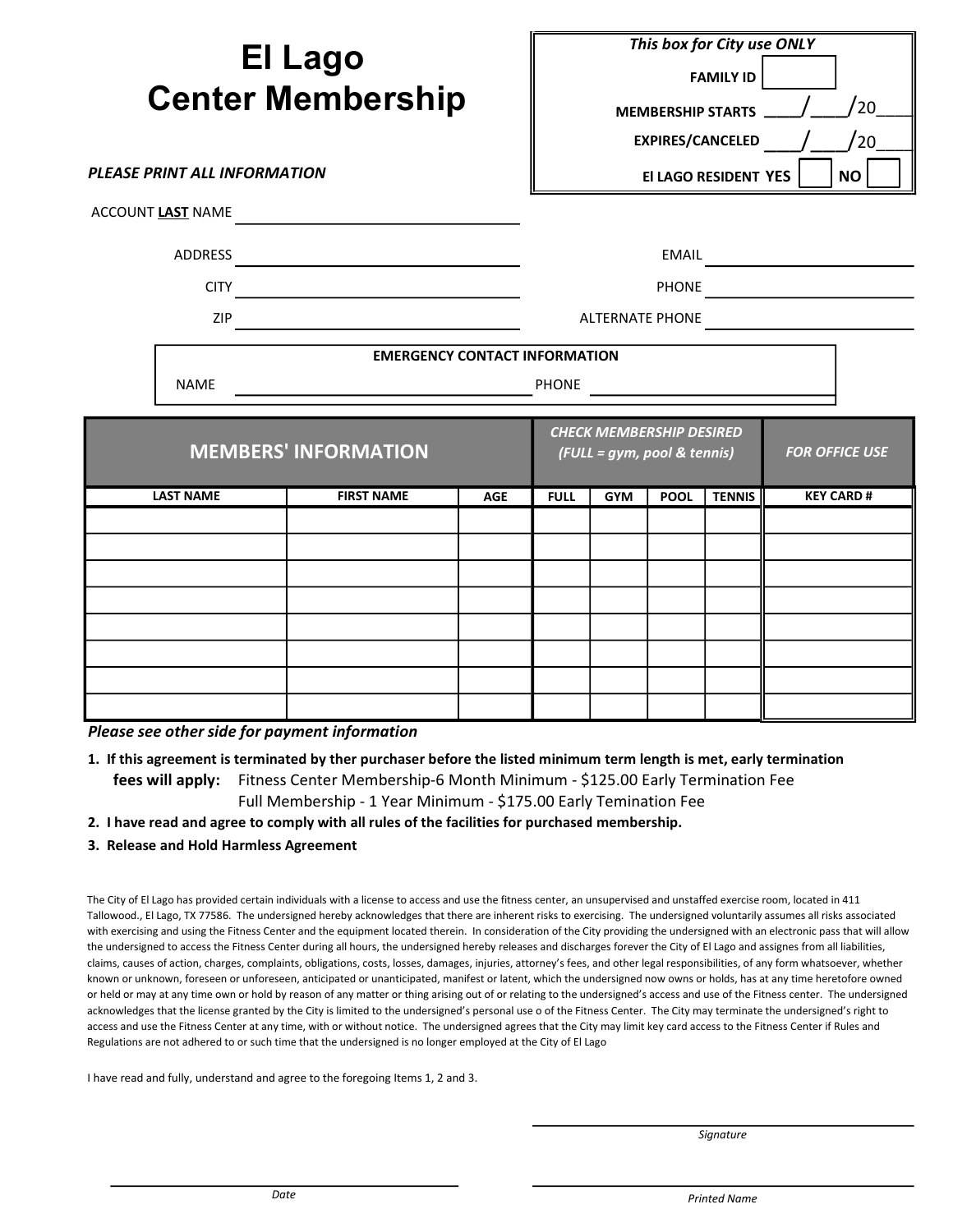| <b>PLEASE PRINT ALL INFORMATION</b> | <b>El Lago</b><br><b>Center Membership</b> |            |              |                                                                | <b>MEMBERSHIP STARTS</b> | This box for City use ONLY<br><b>FAMILY ID</b><br><b>EXPIRES/CANCELED</b><br>El LAGO RESIDENT YES | /20<br>'20<br><b>NO</b> |
|-------------------------------------|--------------------------------------------|------------|--------------|----------------------------------------------------------------|--------------------------|---------------------------------------------------------------------------------------------------|-------------------------|
| ACCOUNT LAST NAME                   |                                            |            |              |                                                                |                          |                                                                                                   |                         |
| <b>ADDRESS</b>                      |                                            |            |              |                                                                | EMAIL                    |                                                                                                   |                         |
| <b>CITY</b>                         |                                            |            |              |                                                                | <b>PHONE</b>             |                                                                                                   |                         |
| ZIP                                 |                                            |            |              | <b>ALTERNATE PHONE</b>                                         |                          |                                                                                                   |                         |
|                                     | <b>EMERGENCY CONTACT INFORMATION</b>       |            |              |                                                                |                          |                                                                                                   |                         |
| <b>NAME</b>                         |                                            |            | <b>PHONE</b> |                                                                |                          |                                                                                                   |                         |
|                                     | <b>MEMBERS' INFORMATION</b>                |            |              | <b>CHECK MEMBERSHIP DESIRED</b><br>(FULL = gym, pool & tennis) |                          |                                                                                                   | <b>FOR OFFICE USE</b>   |
| <b>LAST NAME</b>                    | <b>FIRST NAME</b>                          | <b>AGE</b> | <b>FULL</b>  | <b>GYM</b>                                                     | <b>POOL</b>              | <b>TENNIS</b>                                                                                     | <b>KEY CARD#</b>        |
|                                     |                                            |            |              |                                                                |                          |                                                                                                   |                         |
|                                     |                                            |            |              |                                                                |                          |                                                                                                   |                         |
|                                     |                                            |            |              |                                                                |                          |                                                                                                   |                         |

Please see other side for payment information

- 1. If this agreement is terminated by ther purchaser before the listed minimum term length is met, early termination fees will apply: Fitness Center Membership-6 Month Minimum - \$125.00 Early Termination Fee Full Membership - 1 Year Minimum - \$175.00 Early Temination Fee
- 2. I have read and agree to comply with all rules of the facilities for purchased membership.
- 3. Release and Hold Harmless Agreement

The City of El Lago has provided certain individuals with a license to access and use the fitness center, an unsupervised and unstaffed exercise room, located in 411 Tallowood., El Lago, TX 77586. The undersigned hereby acknowledges that there are inherent risks to exercising. The undersigned voluntarily assumes all risks associated with exercising and using the Fitness Center and the equipment located therein. In consideration of the City providing the undersigned with an electronic pass that will allow the undersigned to access the Fitness Center during all hours, the undersigned hereby releases and discharges forever the City of El Lago and assignes from all liabilities, claims, causes of action, charges, complaints, obligations, costs, losses, damages, injuries, attorney's fees, and other legal responsibilities, of any form whatsoever, whether known or unknown, foreseen or unforeseen, anticipated or unanticipated, manifest or latent, which the undersigned now owns or holds, has at any time heretofore owned or held or may at any time own or hold by reason of any matter or thing arising out of or relating to the undersigned's access and use of the Fitness center. The undersigned acknowledges that the license granted by the City is limited to the undersigned's personal use o of the Fitness Center. The City may terminate the undersigned's right to access and use the Fitness Center at any time, with or without notice. The undersigned agrees that the City may limit key card access to the Fitness Center if Rules and Regulations are not adhered to or such time that the undersigned is no longer employed at the City of El Lago

I have read and fully, understand and agree to the foregoing Items 1, 2 and 3.

**Signature**